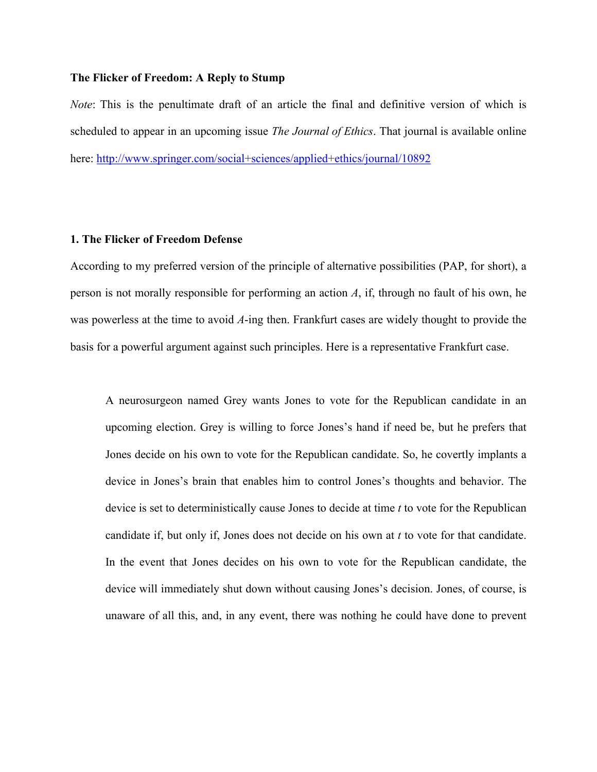## **The Flicker of Freedom: A Reply to Stump**

*Note*: This is the penultimate draft of an article the final and definitive version of which is scheduled to appear in an upcoming issue *The Journal of Ethics*. That journal is available online here: http://www.springer.com/social+sciences/applied+ethics/journal/10892

# **1. The Flicker of Freedom Defense**

According to my preferred version of the principle of alternative possibilities (PAP, for short), a person is not morally responsible for performing an action *A*, if, through no fault of his own, he was powerless at the time to avoid *A*-ing then. Frankfurt cases are widely thought to provide the basis for a powerful argument against such principles. Here is a representative Frankfurt case.

A neurosurgeon named Grey wants Jones to vote for the Republican candidate in an upcoming election. Grey is willing to force Jones's hand if need be, but he prefers that Jones decide on his own to vote for the Republican candidate. So, he covertly implants a device in Jones's brain that enables him to control Jones's thoughts and behavior. The device is set to deterministically cause Jones to decide at time *t* to vote for the Republican candidate if, but only if, Jones does not decide on his own at *t* to vote for that candidate. In the event that Jones decides on his own to vote for the Republican candidate, the device will immediately shut down without causing Jones's decision. Jones, of course, is unaware of all this, and, in any event, there was nothing he could have done to prevent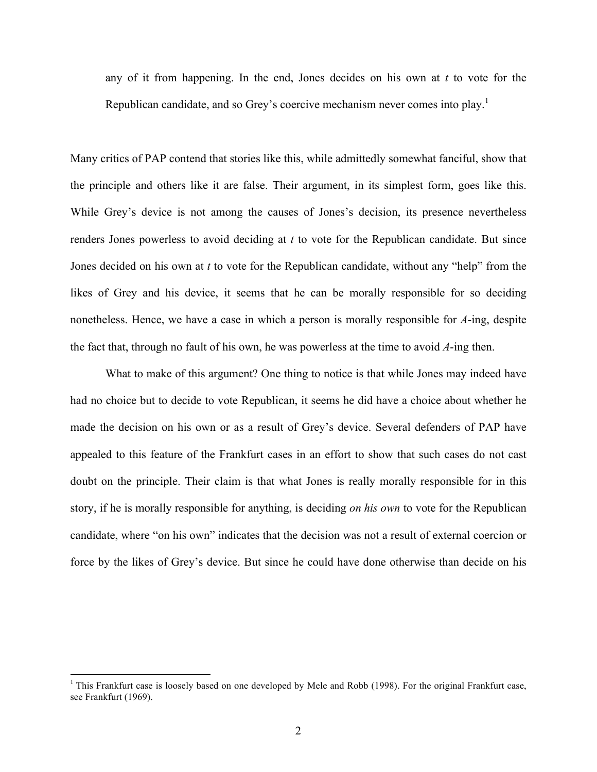any of it from happening. In the end, Jones decides on his own at *t* to vote for the Republican candidate, and so Grey's coercive mechanism never comes into play.<sup>1</sup>

Many critics of PAP contend that stories like this, while admittedly somewhat fanciful, show that the principle and others like it are false. Their argument, in its simplest form, goes like this. While Grey's device is not among the causes of Jones's decision, its presence nevertheless renders Jones powerless to avoid deciding at *t* to vote for the Republican candidate. But since Jones decided on his own at *t* to vote for the Republican candidate, without any "help" from the likes of Grey and his device, it seems that he can be morally responsible for so deciding nonetheless. Hence, we have a case in which a person is morally responsible for *A*-ing, despite the fact that, through no fault of his own, he was powerless at the time to avoid *A*-ing then.

What to make of this argument? One thing to notice is that while Jones may indeed have had no choice but to decide to vote Republican, it seems he did have a choice about whether he made the decision on his own or as a result of Grey's device. Several defenders of PAP have appealed to this feature of the Frankfurt cases in an effort to show that such cases do not cast doubt on the principle. Their claim is that what Jones is really morally responsible for in this story, if he is morally responsible for anything, is deciding *on his own* to vote for the Republican candidate, where "on his own" indicates that the decision was not a result of external coercion or force by the likes of Grey's device. But since he could have done otherwise than decide on his

 $1$  This Frankfurt case is loosely based on one developed by Mele and Robb (1998). For the original Frankfurt case, see Frankfurt (1969).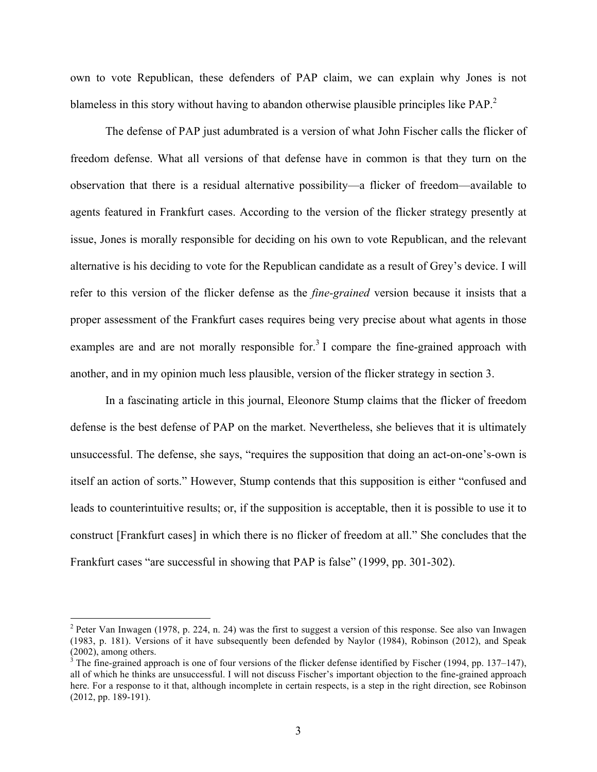own to vote Republican, these defenders of PAP claim, we can explain why Jones is not blameless in this story without having to abandon otherwise plausible principles like PAP.<sup>2</sup>

The defense of PAP just adumbrated is a version of what John Fischer calls the flicker of freedom defense. What all versions of that defense have in common is that they turn on the observation that there is a residual alternative possibility—a flicker of freedom—available to agents featured in Frankfurt cases. According to the version of the flicker strategy presently at issue, Jones is morally responsible for deciding on his own to vote Republican, and the relevant alternative is his deciding to vote for the Republican candidate as a result of Grey's device. I will refer to this version of the flicker defense as the *fine-grained* version because it insists that a proper assessment of the Frankfurt cases requires being very precise about what agents in those examples are and are not morally responsible for.<sup>3</sup> I compare the fine-grained approach with another, and in my opinion much less plausible, version of the flicker strategy in section 3.

In a fascinating article in this journal, Eleonore Stump claims that the flicker of freedom defense is the best defense of PAP on the market. Nevertheless, she believes that it is ultimately unsuccessful. The defense, she says, "requires the supposition that doing an act-on-one's-own is itself an action of sorts." However, Stump contends that this supposition is either "confused and leads to counterintuitive results; or, if the supposition is acceptable, then it is possible to use it to construct [Frankfurt cases] in which there is no flicker of freedom at all." She concludes that the Frankfurt cases "are successful in showing that PAP is false" (1999, pp. 301-302).

<sup>&</sup>lt;sup>2</sup> Peter Van Inwagen (1978, p. 224, n. 24) was the first to suggest a version of this response. See also van Inwagen (1983, p. 181). Versions of it have subsequently been defended by Naylor (1984), Robinson (2012), and Speak  $(2002)$ , among others.<br><sup>3</sup> The fine-grained approach is one of four versions of the flicker defense identified by Fischer (1994, pp. 137–147),

all of which he thinks are unsuccessful. I will not discuss Fischer's important objection to the fine-grained approach here. For a response to it that, although incomplete in certain respects, is a step in the right direction, see Robinson (2012, pp. 189-191).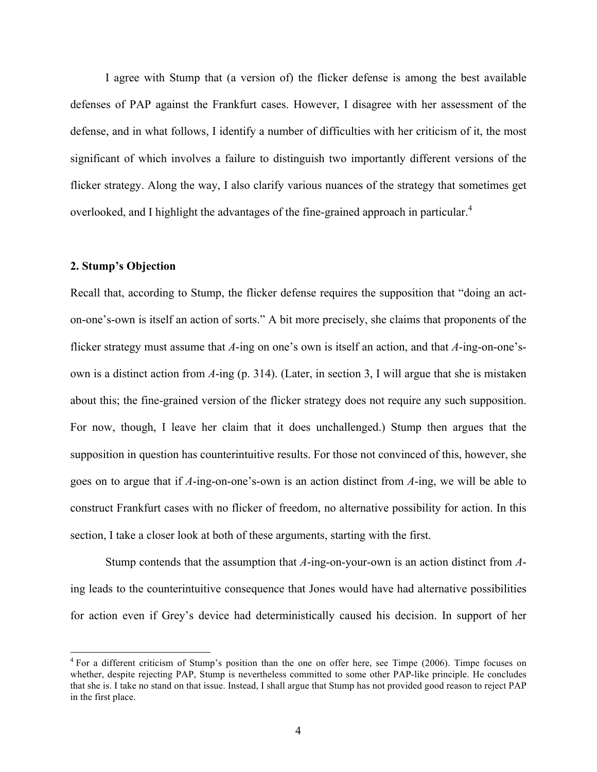I agree with Stump that (a version of) the flicker defense is among the best available defenses of PAP against the Frankfurt cases. However, I disagree with her assessment of the defense, and in what follows, I identify a number of difficulties with her criticism of it, the most significant of which involves a failure to distinguish two importantly different versions of the flicker strategy. Along the way, I also clarify various nuances of the strategy that sometimes get overlooked, and I highlight the advantages of the fine-grained approach in particular.<sup>4</sup>

# **2. Stump's Objection**

Recall that, according to Stump, the flicker defense requires the supposition that "doing an acton-one's-own is itself an action of sorts." A bit more precisely, she claims that proponents of the flicker strategy must assume that *A*-ing on one's own is itself an action, and that *A*-ing-on-one'sown is a distinct action from *A*-ing (p. 314). (Later, in section 3, I will argue that she is mistaken about this; the fine-grained version of the flicker strategy does not require any such supposition. For now, though, I leave her claim that it does unchallenged.) Stump then argues that the supposition in question has counterintuitive results. For those not convinced of this, however, she goes on to argue that if *A*-ing-on-one's-own is an action distinct from *A*-ing, we will be able to construct Frankfurt cases with no flicker of freedom, no alternative possibility for action. In this section, I take a closer look at both of these arguments, starting with the first.

Stump contends that the assumption that *A*-ing-on-your-own is an action distinct from *A*ing leads to the counterintuitive consequence that Jones would have had alternative possibilities for action even if Grey's device had deterministically caused his decision. In support of her

 <sup>4</sup> For a different criticism of Stump's position than the one on offer here, see Timpe (2006). Timpe focuses on whether, despite rejecting PAP, Stump is nevertheless committed to some other PAP-like principle. He concludes that she is. I take no stand on that issue. Instead, I shall argue that Stump has not provided good reason to reject PAP in the first place.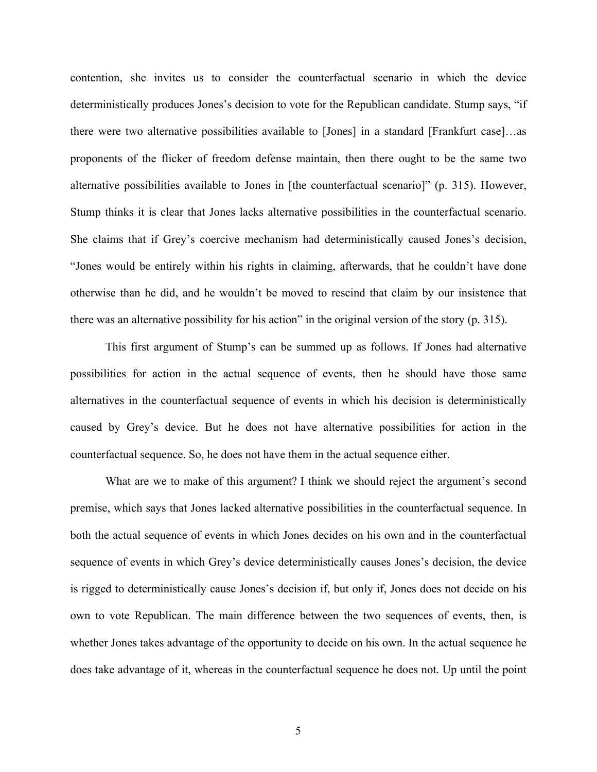contention, she invites us to consider the counterfactual scenario in which the device deterministically produces Jones's decision to vote for the Republican candidate. Stump says, "if there were two alternative possibilities available to [Jones] in a standard [Frankfurt case]…as proponents of the flicker of freedom defense maintain, then there ought to be the same two alternative possibilities available to Jones in [the counterfactual scenario]" (p. 315). However, Stump thinks it is clear that Jones lacks alternative possibilities in the counterfactual scenario. She claims that if Grey's coercive mechanism had deterministically caused Jones's decision, "Jones would be entirely within his rights in claiming, afterwards, that he couldn't have done otherwise than he did, and he wouldn't be moved to rescind that claim by our insistence that there was an alternative possibility for his action" in the original version of the story (p. 315).

This first argument of Stump's can be summed up as follows. If Jones had alternative possibilities for action in the actual sequence of events, then he should have those same alternatives in the counterfactual sequence of events in which his decision is deterministically caused by Grey's device. But he does not have alternative possibilities for action in the counterfactual sequence. So, he does not have them in the actual sequence either.

What are we to make of this argument? I think we should reject the argument's second premise, which says that Jones lacked alternative possibilities in the counterfactual sequence. In both the actual sequence of events in which Jones decides on his own and in the counterfactual sequence of events in which Grey's device deterministically causes Jones's decision, the device is rigged to deterministically cause Jones's decision if, but only if, Jones does not decide on his own to vote Republican. The main difference between the two sequences of events, then, is whether Jones takes advantage of the opportunity to decide on his own. In the actual sequence he does take advantage of it, whereas in the counterfactual sequence he does not. Up until the point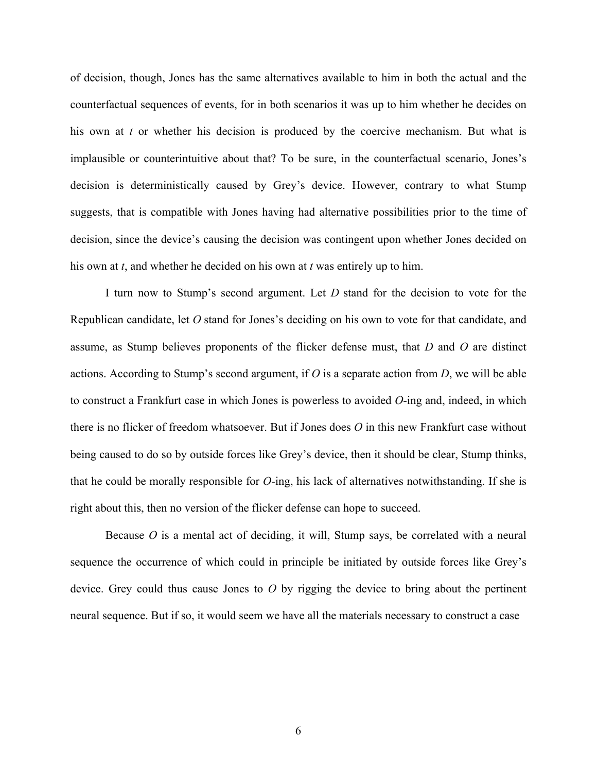of decision, though, Jones has the same alternatives available to him in both the actual and the counterfactual sequences of events, for in both scenarios it was up to him whether he decides on his own at *t* or whether his decision is produced by the coercive mechanism. But what is implausible or counterintuitive about that? To be sure, in the counterfactual scenario, Jones's decision is deterministically caused by Grey's device. However, contrary to what Stump suggests, that is compatible with Jones having had alternative possibilities prior to the time of decision, since the device's causing the decision was contingent upon whether Jones decided on his own at *t*, and whether he decided on his own at *t* was entirely up to him.

I turn now to Stump's second argument. Let *D* stand for the decision to vote for the Republican candidate, let *O* stand for Jones's deciding on his own to vote for that candidate, and assume, as Stump believes proponents of the flicker defense must, that *D* and *O* are distinct actions. According to Stump's second argument, if *O* is a separate action from *D*, we will be able to construct a Frankfurt case in which Jones is powerless to avoided *O*-ing and, indeed, in which there is no flicker of freedom whatsoever. But if Jones does *O* in this new Frankfurt case without being caused to do so by outside forces like Grey's device, then it should be clear, Stump thinks, that he could be morally responsible for *O*-ing, his lack of alternatives notwithstanding. If she is right about this, then no version of the flicker defense can hope to succeed.

Because *O* is a mental act of deciding, it will, Stump says, be correlated with a neural sequence the occurrence of which could in principle be initiated by outside forces like Grey's device. Grey could thus cause Jones to *O* by rigging the device to bring about the pertinent neural sequence. But if so, it would seem we have all the materials necessary to construct a case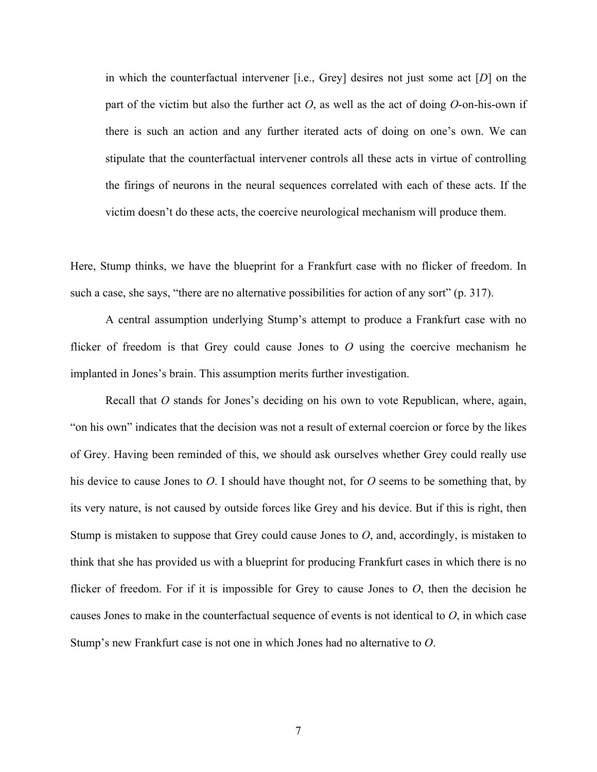in which the counterfactual intervener [i.e., Grey] desires not just some act [*D*] on the part of the victim but also the further act *O*, as well as the act of doing *O*-on-his-own if there is such an action and any further iterated acts of doing on one's own. We can stipulate that the counterfactual intervener controls all these acts in virtue of controlling the firings of neurons in the neural sequences correlated with each of these acts. If the victim doesn't do these acts, the coercive neurological mechanism will produce them.

Here, Stump thinks, we have the blueprint for a Frankfurt case with no flicker of freedom. In such a case, she says, "there are no alternative possibilities for action of any sort" (p. 317).

A central assumption underlying Stump's attempt to produce a Frankfurt case with no flicker of freedom is that Grey could cause Jones to *O* using the coercive mechanism he implanted in Jones's brain. This assumption merits further investigation.

Recall that *O* stands for Jones's deciding on his own to vote Republican, where, again, "on his own" indicates that the decision was not a result of external coercion or force by the likes of Grey. Having been reminded of this, we should ask ourselves whether Grey could really use his device to cause Jones to *O*. I should have thought not, for *O* seems to be something that, by its very nature, is not caused by outside forces like Grey and his device. But if this is right, then Stump is mistaken to suppose that Grey could cause Jones to *O*, and, accordingly, is mistaken to think that she has provided us with a blueprint for producing Frankfurt cases in which there is no flicker of freedom. For if it is impossible for Grey to cause Jones to *O*, then the decision he causes Jones to make in the counterfactual sequence of events is not identical to *O*, in which case Stump's new Frankfurt case is not one in which Jones had no alternative to *O*.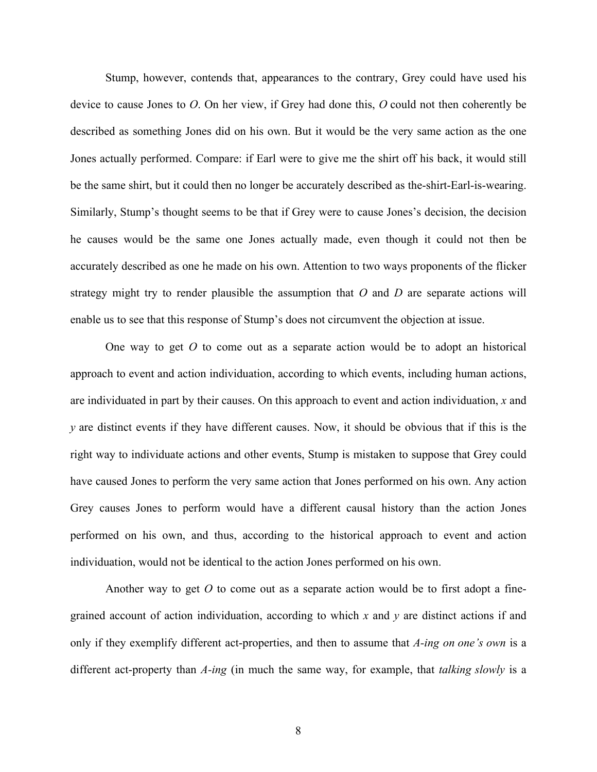Stump, however, contends that, appearances to the contrary, Grey could have used his device to cause Jones to *O*. On her view, if Grey had done this, *O* could not then coherently be described as something Jones did on his own. But it would be the very same action as the one Jones actually performed. Compare: if Earl were to give me the shirt off his back, it would still be the same shirt, but it could then no longer be accurately described as the-shirt-Earl-is-wearing. Similarly, Stump's thought seems to be that if Grey were to cause Jones's decision, the decision he causes would be the same one Jones actually made, even though it could not then be accurately described as one he made on his own. Attention to two ways proponents of the flicker strategy might try to render plausible the assumption that *O* and *D* are separate actions will enable us to see that this response of Stump's does not circumvent the objection at issue.

One way to get *O* to come out as a separate action would be to adopt an historical approach to event and action individuation, according to which events, including human actions, are individuated in part by their causes. On this approach to event and action individuation, *x* and *y* are distinct events if they have different causes. Now, it should be obvious that if this is the right way to individuate actions and other events, Stump is mistaken to suppose that Grey could have caused Jones to perform the very same action that Jones performed on his own. Any action Grey causes Jones to perform would have a different causal history than the action Jones performed on his own, and thus, according to the historical approach to event and action individuation, would not be identical to the action Jones performed on his own.

Another way to get *O* to come out as a separate action would be to first adopt a finegrained account of action individuation, according to which *x* and *y* are distinct actions if and only if they exemplify different act-properties, and then to assume that *A-ing on one's own* is a different act-property than *A-ing* (in much the same way, for example, that *talking slowly* is a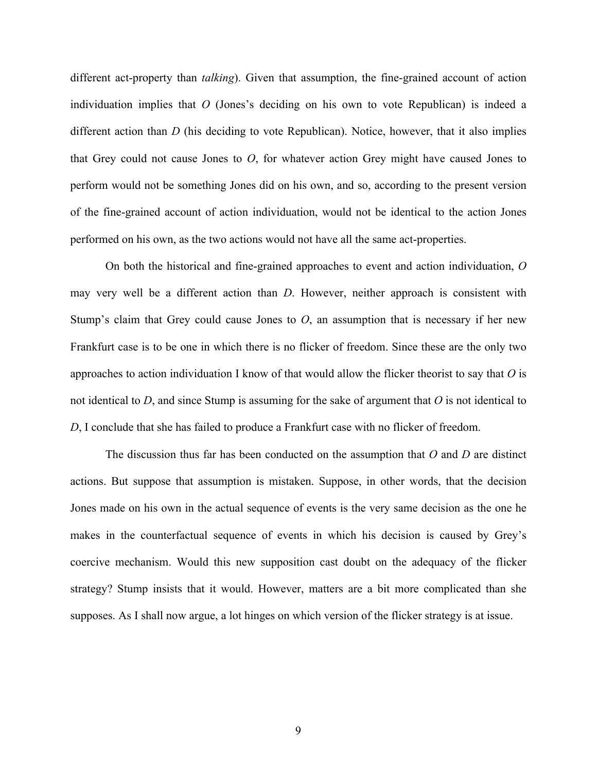different act-property than *talking*). Given that assumption, the fine-grained account of action individuation implies that *O* (Jones's deciding on his own to vote Republican) is indeed a different action than *D* (his deciding to vote Republican). Notice, however, that it also implies that Grey could not cause Jones to *O*, for whatever action Grey might have caused Jones to perform would not be something Jones did on his own, and so, according to the present version of the fine-grained account of action individuation, would not be identical to the action Jones performed on his own, as the two actions would not have all the same act-properties.

On both the historical and fine-grained approaches to event and action individuation, *O* may very well be a different action than *D*. However, neither approach is consistent with Stump's claim that Grey could cause Jones to *O*, an assumption that is necessary if her new Frankfurt case is to be one in which there is no flicker of freedom. Since these are the only two approaches to action individuation I know of that would allow the flicker theorist to say that *O* is not identical to *D*, and since Stump is assuming for the sake of argument that *O* is not identical to *D*, I conclude that she has failed to produce a Frankfurt case with no flicker of freedom.

The discussion thus far has been conducted on the assumption that *O* and *D* are distinct actions. But suppose that assumption is mistaken. Suppose, in other words, that the decision Jones made on his own in the actual sequence of events is the very same decision as the one he makes in the counterfactual sequence of events in which his decision is caused by Grey's coercive mechanism. Would this new supposition cast doubt on the adequacy of the flicker strategy? Stump insists that it would. However, matters are a bit more complicated than she supposes. As I shall now argue, a lot hinges on which version of the flicker strategy is at issue.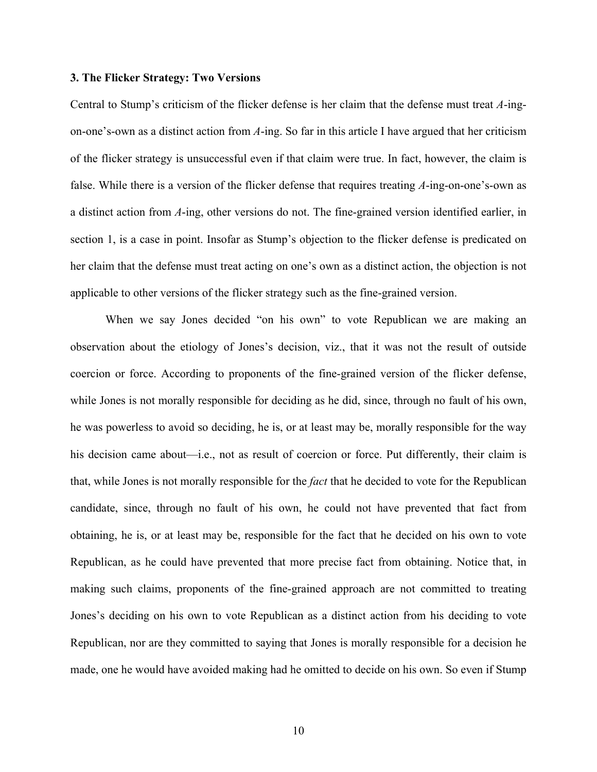### **3. The Flicker Strategy: Two Versions**

Central to Stump's criticism of the flicker defense is her claim that the defense must treat *A*-ingon-one's-own as a distinct action from *A*-ing. So far in this article I have argued that her criticism of the flicker strategy is unsuccessful even if that claim were true. In fact, however, the claim is false. While there is a version of the flicker defense that requires treating *A*-ing-on-one's-own as a distinct action from *A*-ing, other versions do not. The fine-grained version identified earlier, in section 1, is a case in point. Insofar as Stump's objection to the flicker defense is predicated on her claim that the defense must treat acting on one's own as a distinct action, the objection is not applicable to other versions of the flicker strategy such as the fine-grained version.

When we say Jones decided "on his own" to vote Republican we are making an observation about the etiology of Jones's decision, viz., that it was not the result of outside coercion or force. According to proponents of the fine-grained version of the flicker defense, while Jones is not morally responsible for deciding as he did, since, through no fault of his own, he was powerless to avoid so deciding, he is, or at least may be, morally responsible for the way his decision came about—i.e., not as result of coercion or force. Put differently, their claim is that, while Jones is not morally responsible for the *fact* that he decided to vote for the Republican candidate, since, through no fault of his own, he could not have prevented that fact from obtaining, he is, or at least may be, responsible for the fact that he decided on his own to vote Republican, as he could have prevented that more precise fact from obtaining. Notice that, in making such claims, proponents of the fine-grained approach are not committed to treating Jones's deciding on his own to vote Republican as a distinct action from his deciding to vote Republican, nor are they committed to saying that Jones is morally responsible for a decision he made, one he would have avoided making had he omitted to decide on his own. So even if Stump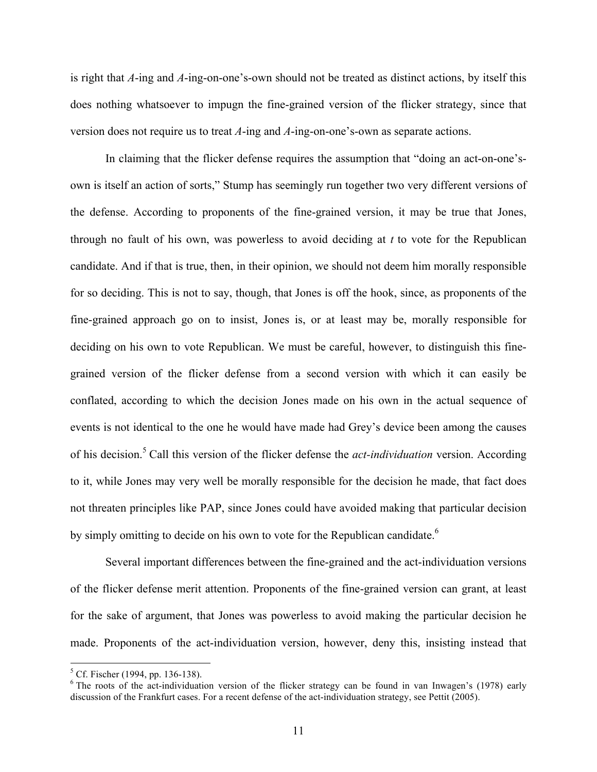is right that *A*-ing and *A*-ing-on-one's-own should not be treated as distinct actions, by itself this does nothing whatsoever to impugn the fine-grained version of the flicker strategy, since that version does not require us to treat *A*-ing and *A*-ing-on-one's-own as separate actions.

In claiming that the flicker defense requires the assumption that "doing an act-on-one'sown is itself an action of sorts," Stump has seemingly run together two very different versions of the defense. According to proponents of the fine-grained version, it may be true that Jones, through no fault of his own, was powerless to avoid deciding at *t* to vote for the Republican candidate. And if that is true, then, in their opinion, we should not deem him morally responsible for so deciding. This is not to say, though, that Jones is off the hook, since, as proponents of the fine-grained approach go on to insist, Jones is, or at least may be, morally responsible for deciding on his own to vote Republican. We must be careful, however, to distinguish this finegrained version of the flicker defense from a second version with which it can easily be conflated, according to which the decision Jones made on his own in the actual sequence of events is not identical to the one he would have made had Grey's device been among the causes of his decision.<sup>5</sup> Call this version of the flicker defense the *act-individuation* version. According to it, while Jones may very well be morally responsible for the decision he made, that fact does not threaten principles like PAP, since Jones could have avoided making that particular decision by simply omitting to decide on his own to vote for the Republican candidate.<sup>6</sup>

Several important differences between the fine-grained and the act-individuation versions of the flicker defense merit attention. Proponents of the fine-grained version can grant, at least for the sake of argument, that Jones was powerless to avoid making the particular decision he made. Proponents of the act-individuation version, however, deny this, insisting instead that

<sup>&</sup>lt;sup>5</sup> Cf. Fischer (1994, pp. 136-138).<br><sup>6</sup> The roots of the act-individuation version of the flicker strategy can be found in van Inwagen's (1978) early discussion of the Frankfurt cases. For a recent defense of the act-individuation strategy, see Pettit (2005).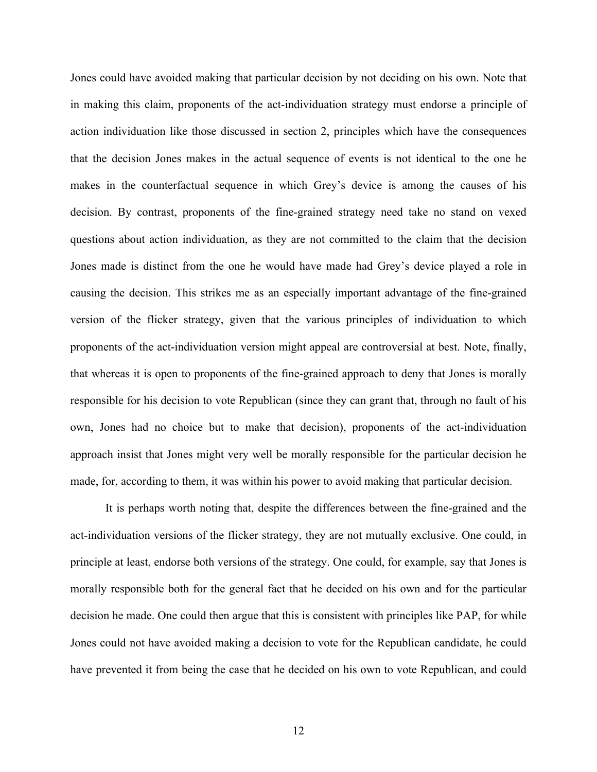Jones could have avoided making that particular decision by not deciding on his own. Note that in making this claim, proponents of the act-individuation strategy must endorse a principle of action individuation like those discussed in section 2, principles which have the consequences that the decision Jones makes in the actual sequence of events is not identical to the one he makes in the counterfactual sequence in which Grey's device is among the causes of his decision. By contrast, proponents of the fine-grained strategy need take no stand on vexed questions about action individuation, as they are not committed to the claim that the decision Jones made is distinct from the one he would have made had Grey's device played a role in causing the decision. This strikes me as an especially important advantage of the fine-grained version of the flicker strategy, given that the various principles of individuation to which proponents of the act-individuation version might appeal are controversial at best. Note, finally, that whereas it is open to proponents of the fine-grained approach to deny that Jones is morally responsible for his decision to vote Republican (since they can grant that, through no fault of his own, Jones had no choice but to make that decision), proponents of the act-individuation approach insist that Jones might very well be morally responsible for the particular decision he made, for, according to them, it was within his power to avoid making that particular decision.

It is perhaps worth noting that, despite the differences between the fine-grained and the act-individuation versions of the flicker strategy, they are not mutually exclusive. One could, in principle at least, endorse both versions of the strategy. One could, for example, say that Jones is morally responsible both for the general fact that he decided on his own and for the particular decision he made. One could then argue that this is consistent with principles like PAP, for while Jones could not have avoided making a decision to vote for the Republican candidate, he could have prevented it from being the case that he decided on his own to vote Republican, and could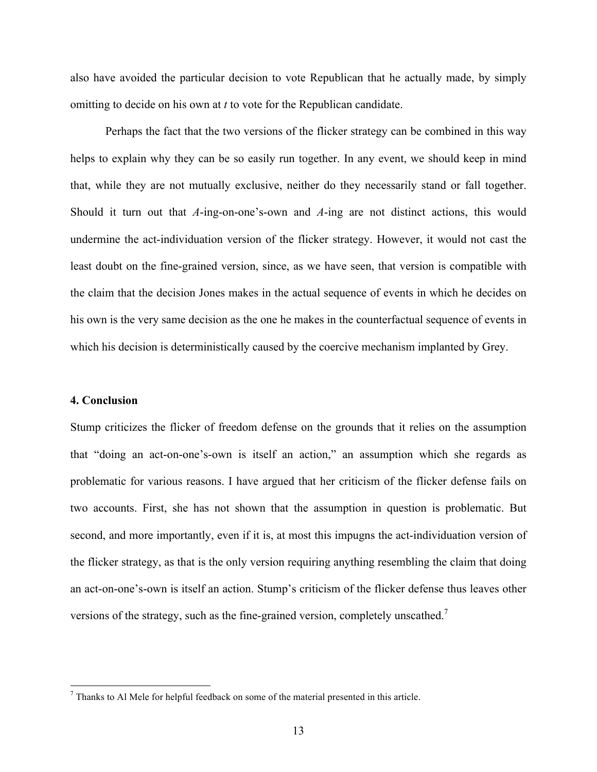also have avoided the particular decision to vote Republican that he actually made, by simply omitting to decide on his own at *t* to vote for the Republican candidate.

Perhaps the fact that the two versions of the flicker strategy can be combined in this way helps to explain why they can be so easily run together. In any event, we should keep in mind that, while they are not mutually exclusive, neither do they necessarily stand or fall together. Should it turn out that *A*-ing-on-one's-own and *A*-ing are not distinct actions, this would undermine the act-individuation version of the flicker strategy. However, it would not cast the least doubt on the fine-grained version, since, as we have seen, that version is compatible with the claim that the decision Jones makes in the actual sequence of events in which he decides on his own is the very same decision as the one he makes in the counterfactual sequence of events in which his decision is deterministically caused by the coercive mechanism implanted by Grey.

#### **4. Conclusion**

Stump criticizes the flicker of freedom defense on the grounds that it relies on the assumption that "doing an act-on-one's-own is itself an action," an assumption which she regards as problematic for various reasons. I have argued that her criticism of the flicker defense fails on two accounts. First, she has not shown that the assumption in question is problematic. But second, and more importantly, even if it is, at most this impugns the act-individuation version of the flicker strategy, as that is the only version requiring anything resembling the claim that doing an act-on-one's-own is itself an action. Stump's criticism of the flicker defense thus leaves other versions of the strategy, such as the fine-grained version, completely unscathed.<sup>7</sup>

 $7$  Thanks to Al Mele for helpful feedback on some of the material presented in this article.